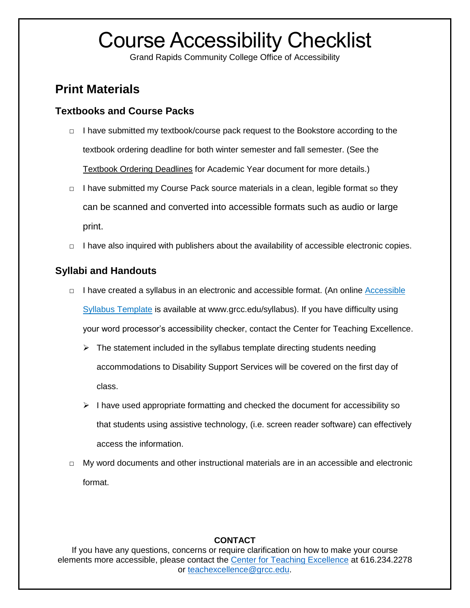# Course Accessibility Checklist

Grand Rapids Community College Office of Accessibility

## **Print Materials**

## **Textbooks and Course Packs**

- □ I have submitted my textbook/course pack request to the Bookstore according to the textbook ordering deadline for both winter semester and fall semester. (See the Textbook Ordering Deadlines for Academic Year document for more details.)
- $\Box$  I have submitted my Course Pack source materials in a clean, legible format so they can be scanned and converted into accessible formats such as audio or large print.
- $\Box$  I have also inquired with publishers about the availability of accessible electronic copies.

## **Syllabi and Handouts**

- □ I have created a syllabus in an electronic and accessible format. (An online Accessible [Syllabus Template](http://www.grcc.edu/sites/default/files/migrated/sites/default/files/attachments/Syllabus%20Template.docx) is available at www.grcc.edu/syllabus). If you have difficulty using your word processor's accessibility checker, contact the Center for Teaching Excellence.
	- $\triangleright$  The statement included in the syllabus template directing students needing accommodations to Disability Support Services will be covered on the first day of class.
	- $\triangleright$  I have used appropriate formatting and checked the document for accessibility so that students using assistive technology, (i.e. screen reader software) can effectively access the information.
- $\Box$  My word documents and other instructional materials are in an accessible and electronic format.

### **CONTACT**

If you have any questions, concerns or require clarification on how to make your course elements more accessible, please contact the [Center for Teaching Excellence](http://grcc.edu/centerforteachingexcellence) at 616.234.2278 or [teachexcellence@grcc.edu.](mailto:teachexcellence@grcc.edu)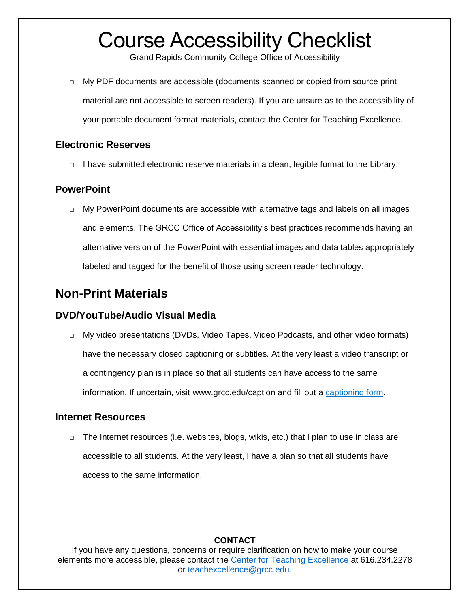## Course Accessibility Checklist

Grand Rapids Community College Office of Accessibility

□ My PDF documents are accessible (documents scanned or copied from source print material are not accessible to screen readers). If you are unsure as to the accessibility of your portable document format materials, contact the Center for Teaching Excellence.

## **Electronic Reserves**

□ I have submitted electronic reserve materials in a clean, legible format to the Library.

## **PowerPoint**

 $\Box$  My PowerPoint documents are accessible with alternative tags and labels on all images and elements. The GRCC Office of Accessibility's best practices recommends having an alternative version of the PowerPoint with essential images and data tables appropriately labeled and tagged for the benefit of those using screen reader technology.

## **Non-Print Materials**

## **DVD/YouTube/Audio Visual Media**

□ My video presentations (DVDs, Video Tapes, Video Podcasts, and other video formats) have the necessary closed captioning or subtitles. At the very least a video transcript or a contingency plan is in place so that all students can have access to the same information. If uncertain, visit www.grcc.edu/caption and fill out a [captioning form.](http://www.grcc.edu/caption)

### **Internet Resources**

 $\Box$  The Internet resources (i.e. websites, blogs, wikis, etc.) that I plan to use in class are accessible to all students. At the very least, I have a plan so that all students have access to the same information.

### **CONTACT**

If you have any questions, concerns or require clarification on how to make your course elements more accessible, please contact the [Center for Teaching Excellence](http://grcc.edu/centerforteachingexcellence) at 616.234.2278 or [teachexcellence@grcc.edu.](mailto:teachexcellence@grcc.edu)